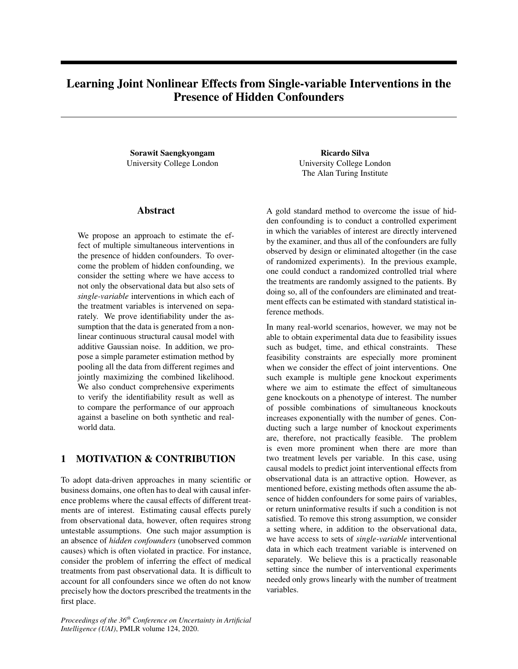# Learning Joint Nonlinear Effects from Single-variable Interventions in the Presence of Hidden Confounders

Sorawit Saengkyongam University College London

## Abstract

We propose an approach to estimate the effect of multiple simultaneous interventions in the presence of hidden confounders. To overcome the problem of hidden confounding, we consider the setting where we have access to not only the observational data but also sets of *single-variable* interventions in which each of the treatment variables is intervened on separately. We prove identifiability under the assumption that the data is generated from a nonlinear continuous structural causal model with additive Gaussian noise. In addition, we propose a simple parameter estimation method by pooling all the data from different regimes and jointly maximizing the combined likelihood. We also conduct comprehensive experiments to verify the identifiability result as well as to compare the performance of our approach against a baseline on both synthetic and realworld data.

## 1 MOTIVATION & CONTRIBUTION

To adopt data-driven approaches in many scientific or business domains, one often has to deal with causal inference problems where the causal effects of different treatments are of interest. Estimating causal effects purely from observational data, however, often requires strong untestable assumptions. One such major assumption is an absence of *hidden confounders* (unobserved common causes) which is often violated in practice. For instance, consider the problem of inferring the effect of medical treatments from past observational data. It is difficult to account for all confounders since we often do not know precisely how the doctors prescribed the treatments in the first place.

*Proceedings of the 36th Conference on Uncertainty in Artificial Intelligence (UAI)*, PMLR volume 124, 2020.

Ricardo Silva University College London The Alan Turing Institute

A gold standard method to overcome the issue of hidden confounding is to conduct a controlled experiment in which the variables of interest are directly intervened by the examiner, and thus all of the confounders are fully observed by design or eliminated altogether (in the case of randomized experiments). In the previous example, one could conduct a randomized controlled trial where the treatments are randomly assigned to the patients. By doing so, all of the confounders are eliminated and treatment effects can be estimated with standard statistical inference methods.

In many real-world scenarios, however, we may not be able to obtain experimental data due to feasibility issues such as budget, time, and ethical constraints. These feasibility constraints are especially more prominent when we consider the effect of joint interventions. One such example is multiple gene knockout experiments where we aim to estimate the effect of simultaneous gene knockouts on a phenotype of interest. The number of possible combinations of simultaneous knockouts increases exponentially with the number of genes. Conducting such a large number of knockout experiments are, therefore, not practically feasible. The problem is even more prominent when there are more than two treatment levels per variable. In this case, using causal models to predict joint interventional effects from observational data is an attractive option. However, as mentioned before, existing methods often assume the absence of hidden confounders for some pairs of variables, or return uninformative results if such a condition is not satisfied. To remove this strong assumption, we consider a setting where, in addition to the observational data, we have access to sets of *single-variable* interventional data in which each treatment variable is intervened on separately. We believe this is a practically reasonable setting since the number of interventional experiments needed only grows linearly with the number of treatment variables.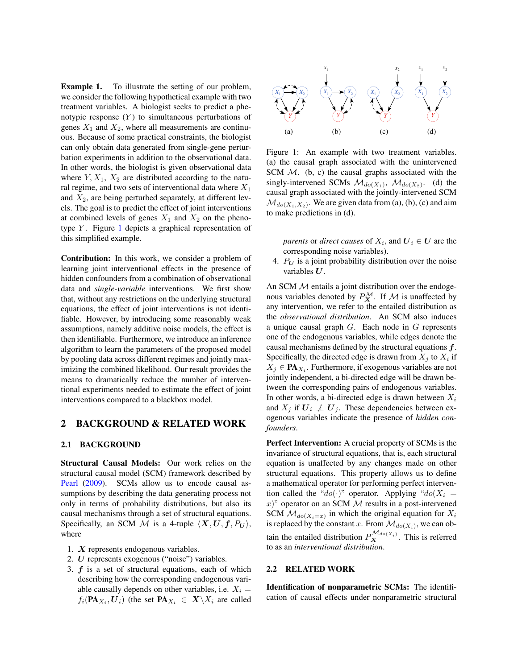Example 1. To illustrate the setting of our problem, we consider the following hypothetical example with two treatment variables. A biologist seeks to predict a phenotypic response  $(Y)$  to simultaneous perturbations of genes  $X_1$  and  $X_2$ , where all measurements are continuous. Because of some practical constraints, the biologist can only obtain data generated from single-gene perturbation experiments in addition to the observational data. In other words, the biologist is given observational data where  $Y, X_1, X_2$  are distributed according to the natural regime, and two sets of interventional data where  $X_1$ and  $X_2$ , are being perturbed separately, at different levels. The goal is to predict the effect of joint interventions at combined levels of genes  $X_1$  and  $X_2$  on the phenotype  $Y$ . Figure [1](#page-1-0) depicts a graphical representation of this simplified example.

Contribution: In this work, we consider a problem of learning joint interventional effects in the presence of hidden confounders from a combination of observational data and *single-variable* interventions. We first show that, without any restrictions on the underlying structural equations, the effect of joint interventions is not identifiable. However, by introducing some reasonably weak assumptions, namely additive noise models, the effect is then identifiable. Furthermore, we introduce an inference algorithm to learn the parameters of the proposed model by pooling data across different regimes and jointly maximizing the combined likelihood. Our result provides the means to dramatically reduce the number of interventional experiments needed to estimate the effect of joint interventions compared to a blackbox model.

### 2 BACKGROUND & RELATED WORK

#### 2.1 BACKGROUND

Structural Causal Models: Our work relies on the structural causal model (SCM) framework described by [Pearl](#page-9-0) [\(2009\)](#page-9-0). SCMs allow us to encode causal assumptions by describing the data generating process not only in terms of probability distributions, but also its causal mechanisms through a set of structural equations. Specifically, an SCM M is a 4-tuple  $\langle X, U, f, P_U \rangle$ , where

- 1. X represents endogenous variables.
- 2. U represents exogenous ("noise") variables.
- 3.  $f$  is a set of structural equations, each of which describing how the corresponding endogenous variable causally depends on other variables, i.e.  $X_i =$  $f_i(\mathbf{PA}_{X_i}, \mathbf{U}_i)$  (the set  $\mathbf{PA}_{X_i} \in \mathbf{X} \backslash X_i$  are called

<span id="page-1-0"></span>

Figure 1: An example with two treatment variables. (a) the causal graph associated with the unintervened SCM  $M$ . (b, c) the causal graphs associated with the singly-intervened SCMs  $\mathcal{M}_{do(X_1)}$ ,  $\mathcal{M}_{do(X_2)}$ . (d) the causal graph associated with the jointly-intervened SCM  $\mathcal{M}_{do(X_1, X_2)}$ . We are given data from (a), (b), (c) and aim to make predictions in (d).

*parents* or *direct causes* of  $X_i$ , and  $\boldsymbol{U}_i \in \boldsymbol{U}$  are the corresponding noise variables).

4.  $P_U$  is a joint probability distribution over the noise variables  $U$ .

An SCM  $M$  entails a joint distribution over the endogenous variables denoted by  $P_X^{\mathcal{M}}$ . If M is unaffected by any intervention, we refer to the entailed distribution as the *observational distribution*. An SCM also induces a unique causal graph  $G$ . Each node in  $G$  represents one of the endogenous variables, while edges denote the causal mechanisms defined by the structural equations  $f$ . Specifically, the directed edge is drawn from  $X_j$  to  $X_i$  if  $X_j \in \mathbf{PA}_{X_i}$ . Furthermore, if exogenous variables are not jointly independent, a bi-directed edge will be drawn between the corresponding pairs of endogenous variables. In other words, a bi-directed edge is drawn between  $X_i$ and  $X_j$  if  $U_i \not\perp U_j$ . These dependencies between exogenous variables indicate the presence of *hidden confounders*.

Perfect Intervention: A crucial property of SCMs is the invariance of structural equations, that is, each structural equation is unaffected by any changes made on other structural equations. This property allows us to define a mathematical operator for performing perfect intervention called the "do(·)" operator. Applying "do( $X_i$  =  $(x)$ " operator on an SCM  $M$  results in a post-intervened SCM  $\mathcal{M}_{do(X_i=x)}$  in which the original equation for  $X_i$ is replaced by the constant x. From  $\mathcal{M}_{do(X_i)}$ , we can obtain the entailed distribution  $P_{\mathbf{X}}^{\mathcal{M}_{do(X_i)}}$ . This is referred to as an *interventional distribution*.

### 2.2 RELATED WORK

Identification of nonparametric SCMs: The identification of causal effects under nonparametric structural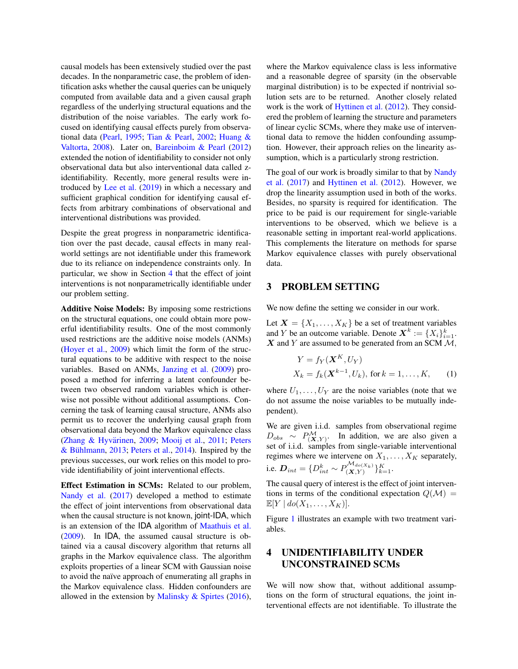causal models has been extensively studied over the past decades. In the nonparametric case, the problem of identification asks whether the causal queries can be uniquely computed from available data and a given causal graph regardless of the underlying structural equations and the distribution of the noise variables. The early work focused on identifying causal effects purely from observational data [\(Pearl,](#page-9-1) [1995;](#page-9-1) [Tian & Pearl,](#page-9-2) [2002;](#page-9-2) [Huang &](#page-9-3) [Valtorta,](#page-9-3) [2008\)](#page-9-3). Later on, [Bareinboim & Pearl](#page-9-4) [\(2012\)](#page-9-4) extended the notion of identifiability to consider not only observational data but also interventional data called zidentifiability. Recently, more general results were introduced by [Lee et al.](#page-9-5) [\(2019\)](#page-9-5) in which a necessary and sufficient graphical condition for identifying causal effects from arbitrary combinations of observational and interventional distributions was provided.

Despite the great progress in nonparametric identification over the past decade, causal effects in many realworld settings are not identifiable under this framework due to its reliance on independence constraints only. In particular, we show in Section [4](#page-2-0) that the effect of joint interventions is not nonparametrically identifiable under our problem setting.

Additive Noise Models: By imposing some restrictions on the structural equations, one could obtain more powerful identifiability results. One of the most commonly used restrictions are the additive noise models (ANMs) [\(Hoyer et al.,](#page-9-6) [2009\)](#page-9-6) which limit the form of the structural equations to be additive with respect to the noise variables. Based on ANMs, [Janzing et al.](#page-9-7) [\(2009\)](#page-9-7) proposed a method for inferring a latent confounder between two observed random variables which is otherwise not possible without additional assumptions. Concerning the task of learning causal structure, ANMs also permit us to recover the underlying causal graph from observational data beyond the Markov equivalence class (Zhang & Hyvärinen, [2009;](#page-9-8) [Mooij et al.,](#page-9-9) [2011;](#page-9-9) [Peters](#page-9-10) & Bühlmann, [2013;](#page-9-10) [Peters et al.,](#page-9-11) [2014\)](#page-9-11). Inspired by the previous successes, our work relies on this model to provide identifiability of joint interventional effects.

Effect Estimation in SCMs: Related to our problem, [Nandy et al.](#page-9-12) [\(2017\)](#page-9-12) developed a method to estimate the effect of joint interventions from observational data when the causal structure is not known, joint-IDA, which is an extension of the IDA algorithm of [Maathuis et al.](#page-9-13) [\(2009\)](#page-9-13). In IDA, the assumed causal structure is obtained via a causal discovery algorithm that returns all graphs in the Markov equivalence class. The algorithm exploits properties of a linear SCM with Gaussian noise to avoid the naïve approach of enumerating all graphs in the Markov equivalence class. Hidden confounders are allowed in the extension by Malinsky  $\&$  Spirtes [\(2016\)](#page-9-14), where the Markov equivalence class is less informative and a reasonable degree of sparsity (in the observable marginal distribution) is to be expected if nontrivial solution sets are to be returned. Another closely related work is the work of [Hyttinen et al.](#page-9-15) [\(2012\)](#page-9-15). They considered the problem of learning the structure and parameters of linear cyclic SCMs, where they make use of interventional data to remove the hidden confounding assumption. However, their approach relies on the linearity assumption, which is a particularly strong restriction.

The goal of our work is broadly similar to that by [Nandy](#page-9-12) [et al.](#page-9-12) [\(2017\)](#page-9-12) and [Hyttinen et al.](#page-9-15) [\(2012\)](#page-9-15). However, we drop the linearity assumption used in both of the works. Besides, no sparsity is required for identification. The price to be paid is our requirement for single-variable interventions to be observed, which we believe is a reasonable setting in important real-world applications. This complements the literature on methods for sparse Markov equivalence classes with purely observational data.

## 3 PROBLEM SETTING

We now define the setting we consider in our work.

Let  $X = \{X_1, \ldots, X_K\}$  be a set of treatment variables and Y be an outcome variable. Denote  $X^k := \{X_i\}_{i=1}^k$ .  $X$  and Y are assumed to be generated from an SCM  $M$ ,

<span id="page-2-1"></span>
$$
Y = f_Y(\mathbf{X}^K, U_Y)
$$
  
\n
$$
X_k = f_k(\mathbf{X}^{k-1}, U_k), \text{ for } k = 1, \dots, K,
$$
 (1)

where  $U_1, \ldots, U_Y$  are the noise variables (note that we do not assume the noise variables to be mutually independent).

We are given i.i.d. samples from observational regime  $D_{obs} \sim P_{(\mathbf{X}, Y)}^{\mathcal{M}}$ . In addition, we are also given a set of i.i.d. samples from single-variable interventional regimes where we intervene on  $X_1, \ldots, X_K$  separately, i.e.  $\mathbf{D}_{int} = \{D_{int}^{k} \sim P_{(\mathbf{X}, Y)}^{\mathcal{M}_{do(X_k)}}\}_{k=1}^{K}$ .

The causal query of interest is the effect of joint interventions in terms of the conditional expectation  $Q(\mathcal{M}) =$  $\mathbb{E}[Y \mid do(X_1, \ldots, X_K)].$ 

Figure [1](#page-1-0) illustrates an example with two treatment variables.

## <span id="page-2-0"></span>4 UNIDENTIFIABILITY UNDER UNCONSTRAINED SCMs

We will now show that, without additional assumptions on the form of structural equations, the joint interventional effects are not identifiable. To illustrate the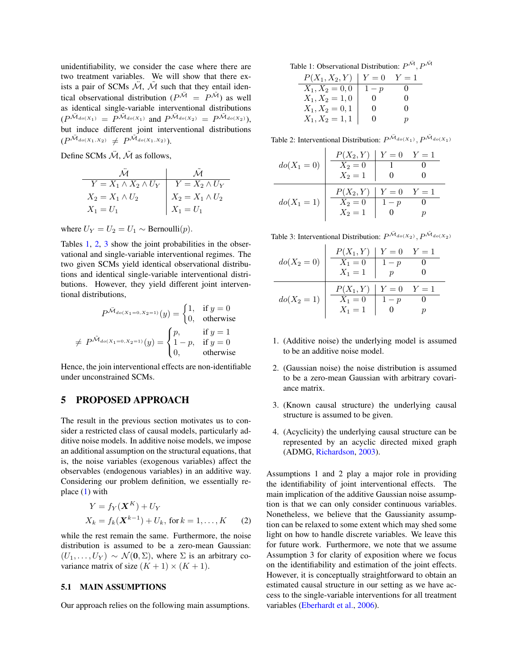unidentifiability, we consider the case where there are two treatment variables. We will show that there exists a pair of SCMs  $\mathcal{M}$ ,  $\mathcal{M}$  such that they entail identical observational distribution ( $P^{\tilde{M}} = P^{\tilde{M}}$ ) as well as identical single-variable interventional distributions  $(P^{\tilde{\mathcal{M}}_{do(X_1)}} = P^{\tilde{\mathcal{M}}_{do(X_1)}} \text{ and } P^{\tilde{\mathcal{M}}_{do(X_2)}} = P^{\tilde{\mathcal{M}}_{do(X_2)}}$ but induce different joint interventional distributions  $(P^{\tilde{\mathcal{M}}_{do(X_1,X_2)}} \neq P^{\tilde{\mathcal{M}}_{do(X_1,X_2)}}).$ 

Define SCMs  $\ddot{M}$ ,  $\tilde{M}$  as follows,

|                                 | $\mathcal{M}$                         |
|---------------------------------|---------------------------------------|
| $Y = X_1 \wedge X_2 \wedge U_Y$ | $Y = X_2 \wedge U_Y$                  |
| $X_2 = X_1 \wedge U_2$          | $X_2 = X_1 \wedge U_2$<br>$X_1 = U_1$ |
| $X_1 = U_1$                     |                                       |

where  $U_Y = U_2 = U_1 \sim \text{Bernoulli}(p)$ .

Tables [1,](#page-3-0) [2,](#page-3-1) [3](#page-3-2) show the joint probabilities in the observational and single-variable interventional regimes. The two given SCMs yield identical observational distributions and identical single-variable interventional distributions. However, they yield different joint interventional distributions,

$$
P^{\tilde{\mathcal{M}}_{do(X_1=0,X_2=1)}}(y) = \begin{cases} 1, & \text{if } y=0\\ 0, & \text{otherwise} \end{cases}
$$

$$
\neq P^{\tilde{\mathcal{M}}_{do(X_1=0,X_2=1)}}(y) = \begin{cases} p, & \text{if } y=1\\ 1-p, & \text{if } y=0\\ 0, & \text{otherwise} \end{cases}
$$

Hence, the join interventional effects are non-identifiable under unconstrained SCMs.

## 5 PROPOSED APPROACH

The result in the previous section motivates us to consider a restricted class of causal models, particularly additive noise models. In additive noise models, we impose an additional assumption on the structural equations, that is, the noise variables (exogenous variables) affect the observables (endogenous variables) in an additive way. Considering our problem definition, we essentially replace [\(1\)](#page-2-1) with

$$
Y = f_Y(\mathbf{X}^K) + U_Y
$$
  
\n
$$
X_k = f_k(\mathbf{X}^{k-1}) + U_k, \text{ for } k = 1, ..., K
$$
 (2)

while the rest remain the same. Furthermore, the noise distribution is assumed to be a zero-mean Gaussian:  $(U_1, \ldots, U_Y) \sim \mathcal{N}(\mathbf{0}, \Sigma)$ , where  $\Sigma$  is an arbitrary covariance matrix of size  $(K + 1) \times (K + 1)$ .

### 5.1 MAIN ASSUMPTIONS

Our approach relies on the following main assumptions.

<span id="page-3-0"></span>Table 1: Observational Distribution:  $P^{\tilde{M}}, P^{\tilde{M}}$ 

| $P(X_1, X_2, Y)$  | $Y=0$    | $Y=1$             |
|-------------------|----------|-------------------|
| $X_1, X_2 = 0, 0$ | $1-p$    | $\mathbf{\Omega}$ |
| $X_1, X_2 = 1, 0$ | $^{(1)}$ | $\Omega$          |
| $X_1, X_2 = 0, 1$ | $\Omega$ | $\Omega$          |
| $X_1, X_2 = 1, 1$ | $_{0}$   | $\boldsymbol{p}$  |

<span id="page-3-1"></span>Table 2: Interventional Distribution:  $P^{\tilde{M}_{do(X_1)}}, P^{\tilde{M}_{do(X_1)}}$ 

| $do(X_1 = 0)$ | $P(X_2, Y)   Y = 0$<br>$X_2 = 0$<br>$X_2 = 1$ |       | $Y=1$ |
|---------------|-----------------------------------------------|-------|-------|
| $do(X_1 = 1)$ | $P(X_2, Y)   Y = 0$<br>$X_2 = 0$<br>$X_2 = 1$ | $1-p$ | $Y=1$ |

<span id="page-3-2"></span>Table 3: Interventional Distribution:  $P^{\tilde{M}_{do(X_2)}}, P^{\tilde{M}_{do(X_2)}}$ 

|               | $P(X_1, Y)   Y = 0$ |       | $Y=1$ |
|---------------|---------------------|-------|-------|
| $do(X_2 = 0)$ | $X_1 = 0$           | $1-p$ |       |
|               | $X_1=1$             |       |       |
|               |                     |       |       |
|               | $P(X_1, Y)   Y = 0$ |       | $Y=1$ |
| $do(X_2 = 1)$ | $X_1 = 0$           | $1-p$ |       |

- 1. (Additive noise) the underlying model is assumed to be an additive noise model.
- 2. (Gaussian noise) the noise distribution is assumed to be a zero-mean Gaussian with arbitrary covariance matrix.
- 3. (Known causal structure) the underlying causal structure is assumed to be given.
- 4. (Acyclicity) the underlying causal structure can be represented by an acyclic directed mixed graph (ADMG, [Richardson,](#page-9-16) [2003\)](#page-9-16).

<span id="page-3-3"></span>Assumptions 1 and 2 play a major role in providing the identifiability of joint interventional effects. The main implication of the additive Gaussian noise assumption is that we can only consider continuous variables. Nonetheless, we believe that the Gaussianity assumption can be relaxed to some extent which may shed some light on how to handle discrete variables. We leave this for future work. Furthermore, we note that we assume Assumption 3 for clarity of exposition where we focus on the identifiability and estimation of the joint effects. However, it is conceptually straightforward to obtain an estimated causal structure in our setting as we have access to the single-variable interventions for all treatment variables [\(Eberhardt et al.,](#page-9-17) [2006\)](#page-9-17).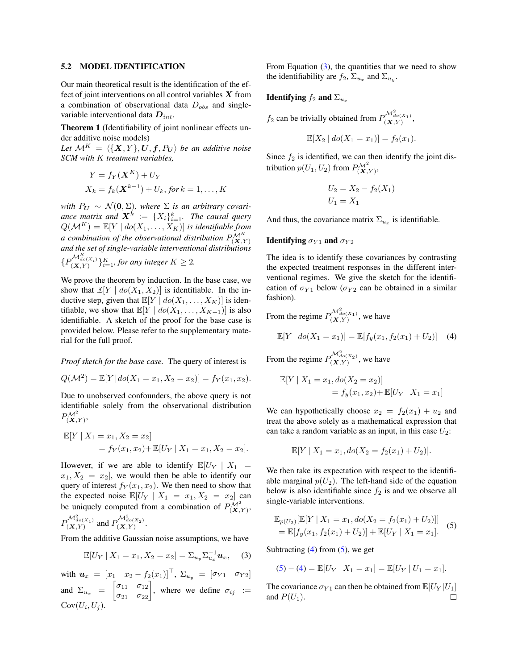#### 5.2 MODEL IDENTIFICATION

Our main theoretical result is the identification of the effect of joint interventions on all control variables  $X$  from a combination of observational data  $D_{obs}$  and singlevariable interventional data  $D_{int}$ .

Theorem 1 (Identifiability of joint nonlinear effects under additive noise models)

Let  $\mathcal{M}^K = \langle \{X, Y\}, U, f, P_U \rangle$  *be an additive noise SCM with* K *treatment variables,*

$$
Y = f_Y(\mathbf{X}^K) + U_Y
$$
  

$$
X_k = f_k(\mathbf{X}^{k-1}) + U_k, \text{ for } k = 1, ..., K
$$

*with*  $P_U \sim \mathcal{N}(0, \Sigma)$ , where  $\Sigma$  *is an arbitrary covari*ance matrix and  $\boldsymbol{X}^k := \{X_i\}_{i=1}^k$ . The causal query  $Q(\mathcal{M}^K) = \mathbb{E}[Y \mid do(X_1, \ldots, X_K)]$  *is identifiable from a combination of the observational distribution*  $P_{(\mathbf{X},Y)}^{\mathcal{M}^K}$ *and the set of single-variable interventional distributions*  ${P_{(X,Y)}^{\mathcal{M}_{do(X_i)}^K}}_{i=1}^K$ , for any integer  $K \geq 2$ .

We prove the theorem by induction. In the base case, we show that  $\mathbb{E}[Y \mid do(X_1, X_2)]$  is identifiable. In the inductive step, given that  $\mathbb{E}[Y \mid do(X_1, \ldots, X_K)]$  is identifiable, we show that  $\mathbb{E}[Y \mid do(X_1, \ldots, X_{K+1})]$  is also identifiable. A sketch of the proof for the base case is provided below. Please refer to the supplementary material for the full proof.

#### *Proof sketch for the base case.* The query of interest is

$$
Q(\mathcal{M}^2) = \mathbb{E}[Y | do(X_1 = x_1, X_2 = x_2)] = f_Y(x_1, x_2).
$$

Due to unobserved confounders, the above query is not identifiable solely from the observational distribution  $P^{\mathcal{M}^2} _{(\mathbf{X}, Y)}$ 

$$
\mathbb{E}[Y \mid X_1 = x_1, X_2 = x_2]
$$
  
=  $f_Y(x_1, x_2) + \mathbb{E}[U_Y \mid X_1 = x_1, X_2 = x_2].$ 

However, if we are able to identify  $\mathbb{E}[U_Y | X_1 =$  $x_1, X_2 = x_2$ , we would then be able to identify our query of interest  $f_Y(x_1, x_2)$ . We then need to show that the expected noise  $\mathbb{E}[U_Y | X_1 = x_1, X_2 = x_2]$  can be uniquely computed from a combination of  $P_{(\mathbf{X}, Y)}^{\mathcal{M}^2}$ ,  $P_{(\mathbf{X}, Y)}^{\mathcal{M}_{do(X_1)}^2}$  and  $P_{(\mathbf{X}, Y)}^{\mathcal{M}_{do(X_2)}^2}$ .

From the additive Gaussian noise assumptions, we have

<span id="page-4-0"></span>
$$
\mathbb{E}[U_Y | X_1 = x_1, X_2 = x_2] = \sum_{u_y} \sum_{u_x}^{-1} u_x, \quad (3)
$$

with  $u_x = [x_1 \ x_2 - f_2(x_1)]^\top$ ,  $\Sigma_{u_y} = [\sigma_{Y1} \ \sigma_{Y2}]$ and  $\Sigma_{u_x} = \begin{bmatrix} \sigma_{11} & \sigma_{12} \\ \sigma_{21} & \sigma_{22} \end{bmatrix}$ , where we define  $\sigma_{ij} :=$  $Cov(U_i, U_j).$ 

From Equation  $(3)$ , the quantities that we need to show the identifiability are  $f_2$ ,  $\Sigma_{u_x}$  and  $\Sigma_{u_y}$ .

### Identifying  $f_2$  and  $\Sigma_{u_x}$

 $f_2$  can be trivially obtained from  $P_{(\mathbf{X},Y)}^{\mathcal{M}_{do(X_1)}^2}$ ,

$$
\mathbb{E}[X_2 \mid do(X_1 = x_1)] = f_2(x_1).
$$

Since  $f_2$  is identified, we can then identify the joint distribution  $p(U_1, U_2)$  from  $P_{(\mathbf{X}, Y)}^{\mathcal{M}^2}$ ,

$$
U_2 = X_2 - f_2(X_1)
$$
  

$$
U_1 = X_1
$$

And thus, the covariance matrix  $\Sigma_{u_x}$  is identifiable.

#### Identifying  $\sigma_{Y1}$  and  $\sigma_{Y2}$

The idea is to identify these covariances by contrasting the expected treatment responses in the different interventional regimes. We give the sketch for the identification of  $\sigma_{Y1}$  below ( $\sigma_{Y2}$  can be obtained in a similar fashion).

From the regime  $P_{(\mathbf{X}, Y)}^{\mathcal{M}^2_{do(X_1)}}$ , we have

<span id="page-4-1"></span>
$$
\mathbb{E}[Y \mid do(X_1 = x_1)] = \mathbb{E}[f_y(x_1, f_2(x_1) + U_2)] \quad (4)
$$

From the regime  $P_{(\mathbf{X}, Y)}^{\mathcal{M}^2_{do(X_2)}}$ , we have

$$
\mathbb{E}[Y | X_1 = x_1, do(X_2 = x_2)]
$$
  
=  $f_y(x_1, x_2) + \mathbb{E}[U_Y | X_1 = x_1]$ 

We can hypothetically choose  $x_2 = f_2(x_1) + u_2$  and treat the above solely as a mathematical expression that can take a random variable as an input, in this case  $U_2$ :

$$
\mathbb{E}[Y \mid X_1 = x_1, do(X_2 = f_2(x_1) + U_2)].
$$

We then take its expectation with respect to the identifiable marginal  $p(U_2)$ . The left-hand side of the equation below is also identifiable since  $f_2$  is and we observe all single-variable interventions.

<span id="page-4-2"></span>
$$
\mathbb{E}_{p(U_2)}[\mathbb{E}[Y | X_1 = x_1, do(X_2 = f_2(x_1) + U_2)]]
$$
  
= 
$$
\mathbb{E}[f_y(x_1, f_2(x_1) + U_2)] + \mathbb{E}[U_Y | X_1 = x_1].
$$
 (5)

Subtracting  $(4)$  from  $(5)$ , we get

$$
(5) - (4) = \mathbb{E}[U_Y | X_1 = x_1] = \mathbb{E}[U_Y | U_1 = x_1].
$$

The covariance  $\sigma_{Y1}$  can then be obtained from  $\mathbb{E}[U_Y | U_1]$ and  $P(U_1)$ . П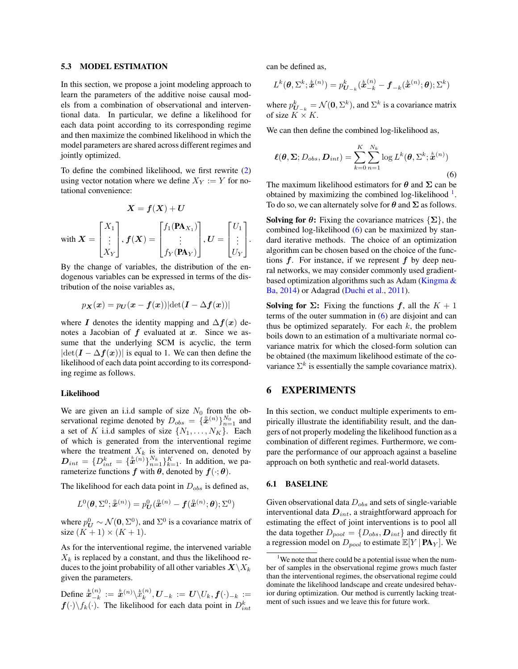#### 5.3 MODEL ESTIMATION

In this section, we propose a joint modeling approach to learn the parameters of the additive noise causal models from a combination of observational and interventional data. In particular, we define a likelihood for each data point according to its corresponding regime and then maximize the combined likelihood in which the model parameters are shared across different regimes and jointly optimized.

To define the combined likelihood, we first rewrite [\(2\)](#page-3-3) using vector notation where we define  $X_Y := Y$  for notational convenience:

$$
X = f(X) + U
$$
  
with 
$$
X = \begin{bmatrix} X_1 \\ \vdots \\ X_Y \end{bmatrix}, f(X) = \begin{bmatrix} f_1(\mathbf{PA}_{X_1}) \\ \vdots \\ f_Y(\mathbf{PA}_Y) \end{bmatrix}, U = \begin{bmatrix} U_1 \\ \vdots \\ U_Y \end{bmatrix}.
$$

By the change of variables, the distribution of the endogenous variables can be expressed in terms of the distribution of the noise variables as,

$$
p_{\boldsymbol{X}}(\boldsymbol{x}) = p_{\boldsymbol{U}}(\boldsymbol{x} - \boldsymbol{f}(\boldsymbol{x})) |\text{det}(\boldsymbol{I} - \Delta \boldsymbol{f}(\boldsymbol{x}))|
$$

where I denotes the identity mapping and  $\Delta f(x)$  denotes a Jacobian of  $f$  evaluated at  $x$ . Since we assume that the underlying SCM is acyclic, the term  $|\det(I - \Delta f(x))|$  is equal to 1. We can then define the likelihood of each data point according to its corresponding regime as follows.

#### Likelihood

We are given an i.i.d sample of size  $N_0$  from the observational regime denoted by  $D_{obs} = \{\mathbf{\hat{x}}^{(n)}\}_{n=1}^{N_0}$  and a set of K i.i.d samples of size  $\{N_1, \ldots, N_K\}$ . Each of which is generated from the interventional regime where the treatment  $X_k$  is intervened on, denoted by  $D_{int} = \{D_{int}^{k} = \{\dot{x}^{(n)}\}_{n=1}^{N_k}\}_{k=1}^{K}$ . In addition, we parameterize functions  $f$  with  $\theta$ , denoted by  $f(\cdot; \theta)$ .

The likelihood for each data point in  $D_{obs}$  is defined as,

$$
L^0(\boldsymbol{\theta}, \Sigma^0; \mathring{\boldsymbol{x}}^{(n)}) = p_{\boldsymbol{U}}^0(\mathring{\boldsymbol{x}}^{(n)} - \boldsymbol{f}(\mathring{\boldsymbol{x}}^{(n)};\boldsymbol{\theta});\Sigma^0)
$$

where  $p_U^0 \sim \mathcal{N}(\mathbf{0}, \Sigma^0)$ , and  $\Sigma^0$  is a covariance matrix of size  $(K + 1) \times (K + 1)$ .

As for the interventional regime, the intervened variable  $X_k$  is replaced by a constant, and thus the likelihood reduces to the joint probability of all other variables  $X\backslash X_k$ given the parameters.

Define  $\hat{\bm{x}}_{-k}^{(n)}$  $\binom{(n)}{-k}:=\overset{k}{\bm{x}}{^{(n)}}\backslash\overset{k}{x}_{k}^{(n)}$  $\bm{v}_k^{(n)}, \bm{U}_{-k} \,:=\, \bm{U} \backslash U_k, \bm{f}(\cdot)_{-k} \,:=\, 0$  $f(\cdot)\backslash f_k(\cdot)$ . The likelihood for each data point in  $D_{int}^k$  can be defined as,

$$
L^k(\boldsymbol{\theta}, \Sigma^k; \mathbf{\hat{x}}^{(n)}) = p_{\boldsymbol{U}_{-k}}^k(\mathbf{\hat{x}}_{-k}^{(n)} - \boldsymbol{f}_{-k}(\mathbf{\hat{x}}^{(n)}; \boldsymbol{\theta}); \Sigma^k)
$$

where  $p_{U_{-k}}^k = \mathcal{N}(\mathbf{0}, \Sigma^k)$ , and  $\Sigma^k$  is a covariance matrix of size  $K \times K$ .

We can then define the combined log-likelihood as,

<span id="page-5-1"></span>
$$
\boldsymbol{\ell}(\boldsymbol{\theta}, \boldsymbol{\Sigma}; D_{obs}, \boldsymbol{D}_{int}) = \sum_{k=0}^{K} \sum_{n=1}^{N_k} \log L^k(\boldsymbol{\theta}, \Sigma^k; \mathbf{\hat{x}}^{(n)})
$$
\n(6)

The maximum likelihood estimators for  $\theta$  and  $\Sigma$  can be obtained by maximizing the combined log-likelihood<sup>[1](#page-5-0)</sup>. To do so, we can alternately solve for  $\theta$  and  $\Sigma$  as follows.

**Solving for**  $\theta$ **:** Fixing the covariance matrices  $\{\Sigma\}$ , the combined log-likelihood [\(6\)](#page-5-1) can be maximized by standard iterative methods. The choice of an optimization algorithm can be chosen based on the choice of the functions  $f$ . For instance, if we represent  $f$  by deep neural networks, we may consider commonly used gradientbased optimization algorithms such as Adam (Kingma  $\&$ [Ba,](#page-9-18) [2014\)](#page-9-18) or Adagrad [\(Duchi et al.,](#page-9-19) [2011\)](#page-9-19).

Solving for  $\Sigma$ : Fixing the functions f, all the  $K + 1$ terms of the outer summation in  $(6)$  are disjoint and can thus be optimized separately. For each  $k$ , the problem boils down to an estimation of a multivariate normal covariance matrix for which the closed-form solution can be obtained (the maximum likelihood estimate of the covariance  $\Sigma^k$  is essentially the sample covariance matrix).

## 6 EXPERIMENTS

In this section, we conduct multiple experiments to empirically illustrate the identifiability result, and the dangers of not properly modeling the likelihood function as a combination of different regimes. Furthermore, we compare the performance of our approach against a baseline approach on both synthetic and real-world datasets.

#### 6.1 BASELINE

Given observational data  $D_{obs}$  and sets of single-variable interventional data  $D_{int}$ , a straightforward approach for estimating the effect of joint interventions is to pool all the data together  $D_{pool} = \{D_{obs}, D_{int}\}$  and directly fit a regression model on  $D_{pool}$  to estimate  $\mathbb{E}[Y | \mathbf{PA}_Y]$ . We

<span id="page-5-0"></span><sup>&</sup>lt;sup>1</sup>We note that there could be a potential issue when the number of samples in the observational regime grows much faster than the interventional regimes, the observational regime could dominate the likelihood landscape and create undesired behavior during optimization. Our method is currently lacking treatment of such issues and we leave this for future work.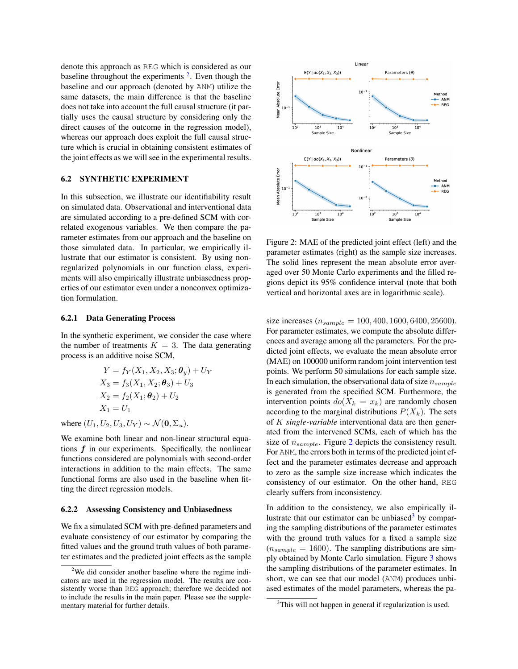denote this approach as REG which is considered as our baseline throughout the experiments  $2$ . Even though the baseline and our approach (denoted by ANM) utilize the same datasets, the main difference is that the baseline does not take into account the full causal structure (it partially uses the causal structure by considering only the direct causes of the outcome in the regression model), whereas our approach does exploit the full causal structure which is crucial in obtaining consistent estimates of the joint effects as we will see in the experimental results.

### <span id="page-6-3"></span>6.2 SYNTHETIC EXPERIMENT

In this subsection, we illustrate our identifiability result on simulated data. Observational and interventional data are simulated according to a pre-defined SCM with correlated exogenous variables. We then compare the parameter estimates from our approach and the baseline on those simulated data. In particular, we empirically illustrate that our estimator is consistent. By using nonregularized polynomials in our function class, experiments will also empirically illustrate unbiasedness properties of our estimator even under a nonconvex optimization formulation.

#### 6.2.1 Data Generating Process

In the synthetic experiment, we consider the case where the number of treatments  $K = 3$ . The data generating process is an additive noise SCM,

$$
Y = f_Y(X_1, X_2, X_3; \theta_y) + U_Y
$$
  
\n
$$
X_3 = f_3(X_1, X_2; \theta_3) + U_3
$$
  
\n
$$
X_2 = f_2(X_1; \theta_2) + U_2
$$
  
\n
$$
X_1 = U_1
$$

where  $(U_1, U_2, U_3, U_Y) \sim \mathcal{N}(\mathbf{0}, \Sigma_u)$ .

We examine both linear and non-linear structural equations  $f$  in our experiments. Specifically, the nonlinear functions considered are polynomials with second-order interactions in addition to the main effects. The same functional forms are also used in the baseline when fitting the direct regression models.

#### 6.2.2 Assessing Consistency and Unbiasedness

We fix a simulated SCM with pre-defined parameters and evaluate consistency of our estimator by comparing the fitted values and the ground truth values of both parameter estimates and the predicted joint effects as the sample

<span id="page-6-1"></span>

Figure 2: MAE of the predicted joint effect (left) and the parameter estimates (right) as the sample size increases. The solid lines represent the mean absolute error averaged over 50 Monte Carlo experiments and the filled regions depict its 95% confidence interval (note that both vertical and horizontal axes are in logarithmic scale).

size increases ( $n_{sample} = 100, 400, 1600, 6400, 25600$ ). For parameter estimates, we compute the absolute differences and average among all the parameters. For the predicted joint effects, we evaluate the mean absolute error (MAE) on 100000 uniform random joint intervention test points. We perform 50 simulations for each sample size. In each simulation, the observational data of size  $n_{sample}$ is generated from the specified SCM. Furthermore, the intervention points  $do(X_k = x_k)$  are randomly chosen according to the marginal distributions  $P(X_k)$ . The sets of K *single-variable* interventional data are then generated from the intervened SCMs, each of which has the size of  $n_{sample}$ . Figure [2](#page-6-1) depicts the consistency result. For ANM, the errors both in terms of the predicted joint effect and the parameter estimates decrease and approach to zero as the sample size increase which indicates the consistency of our estimator. On the other hand, REG clearly suffers from inconsistency.

In addition to the consistency, we also empirically il-lustrate that our estimator can be unbiased<sup>[3](#page-6-2)</sup> by comparing the sampling distributions of the parameter estimates with the ground truth values for a fixed a sample size  $(n_{sample} = 1600)$ . The sampling distributions are simply obtained by Monte Carlo simulation. Figure [3](#page-7-0) shows the sampling distributions of the parameter estimates. In short, we can see that our model (ANM) produces unbiased estimates of the model parameters, whereas the pa-

<span id="page-6-0"></span><sup>&</sup>lt;sup>2</sup>We did consider another baseline where the regime indicators are used in the regression model. The results are consistently worse than REG approach; therefore we decided not to include the results in the main paper. Please see the supplementary material for further details.

<span id="page-6-2"></span><sup>&</sup>lt;sup>3</sup>This will not happen in general if regularization is used.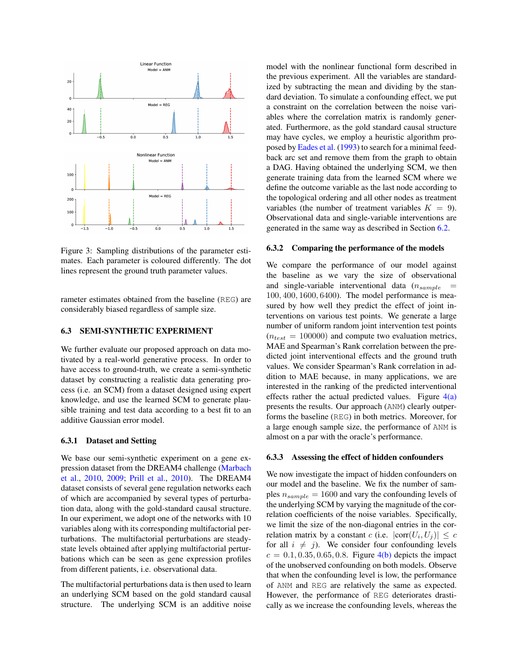<span id="page-7-0"></span>

Figure 3: Sampling distributions of the parameter estimates. Each parameter is coloured differently. The dot lines represent the ground truth parameter values.

rameter estimates obtained from the baseline (REG) are considerably biased regardless of sample size.

## 6.3 SEMI-SYNTHETIC EXPERIMENT

We further evaluate our proposed approach on data motivated by a real-world generative process. In order to have access to ground-truth, we create a semi-synthetic dataset by constructing a realistic data generating process (i.e. an SCM) from a dataset designed using expert knowledge, and use the learned SCM to generate plausible training and test data according to a best fit to an additive Gaussian error model.

#### 6.3.1 Dataset and Setting

We base our semi-synthetic experiment on a gene expression dataset from the DREAM4 challenge [\(Marbach](#page-9-20) [et al.,](#page-9-20) [2010,](#page-9-20) [2009;](#page-9-21) [Prill et al.,](#page-9-22) [2010\)](#page-9-22). The DREAM4 dataset consists of several gene regulation networks each of which are accompanied by several types of perturbation data, along with the gold-standard causal structure. In our experiment, we adopt one of the networks with 10 variables along with its corresponding multifactorial perturbations. The multifactorial perturbations are steadystate levels obtained after applying multifactorial perturbations which can be seen as gene expression profiles from different patients, i.e. observational data.

The multifactorial perturbations data is then used to learn an underlying SCM based on the gold standard causal structure. The underlying SCM is an additive noise model with the nonlinear functional form described in the previous experiment. All the variables are standardized by subtracting the mean and dividing by the standard deviation. To simulate a confounding effect, we put a constraint on the correlation between the noise variables where the correlation matrix is randomly generated. Furthermore, as the gold standard causal structure may have cycles, we employ a heuristic algorithm proposed by [Eades et al.](#page-9-23) [\(1993\)](#page-9-23) to search for a minimal feedback arc set and remove them from the graph to obtain a DAG. Having obtained the underlying SCM, we then generate training data from the learned SCM where we define the outcome variable as the last node according to the topological ordering and all other nodes as treatment variables (the number of treatment variables  $K = 9$ ). Observational data and single-variable interventions are generated in the same way as described in Section [6.2.](#page-6-3)

#### 6.3.2 Comparing the performance of the models

We compare the performance of our model against the baseline as we vary the size of observational and single-variable interventional data  $(n_{sample}$ 100, 400, 1600, 6400). The model performance is measured by how well they predict the effect of joint interventions on various test points. We generate a large number of uniform random joint intervention test points  $(n_{test} = 100000)$  and compute two evaluation metrics, MAE and Spearman's Rank correlation between the predicted joint interventional effects and the ground truth values. We consider Spearman's Rank correlation in addition to MAE because, in many applications, we are interested in the ranking of the predicted interventional effects rather the actual predicted values. Figure  $4(a)$ presents the results. Our approach (ANM) clearly outperforms the baseline (REG) in both metrics. Moreover, for a large enough sample size, the performance of ANM is almost on a par with the oracle's performance.

#### 6.3.3 Assessing the effect of hidden confounders

We now investigate the impact of hidden confounders on our model and the baseline. We fix the number of samples  $n_{sample} = 1600$  and vary the confounding levels of the underlying SCM by varying the magnitude of the correlation coefficients of the noise variables. Specifically, we limit the size of the non-diagonal entries in the correlation matrix by a constant c (i.e.  $|\text{corr}(U_i, U_j)| \leq c$ for all  $i \neq j$ ). We consider four confounding levels  $c = 0.1, 0.35, 0.65, 0.8$ . Figure  $4(b)$  depicts the impact of the unobserved confounding on both models. Observe that when the confounding level is low, the performance of ANM and REG are relatively the same as expected. However, the performance of REG deteriorates drastically as we increase the confounding levels, whereas the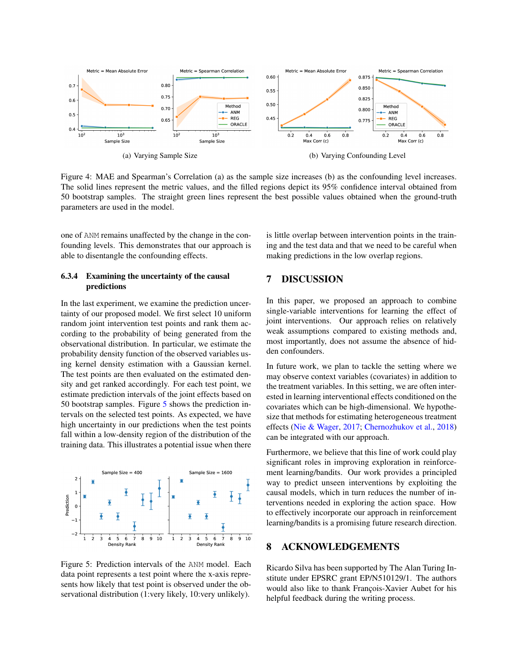<span id="page-8-0"></span>

Figure 4: MAE and Spearman's Correlation (a) as the sample size increases (b) as the confounding level increases. The solid lines represent the metric values, and the filled regions depict its 95% confidence interval obtained from 50 bootstrap samples. The straight green lines represent the best possible values obtained when the ground-truth parameters are used in the model.

one of ANM remains unaffected by the change in the confounding levels. This demonstrates that our approach is able to disentangle the confounding effects.

### 6.3.4 Examining the uncertainty of the causal predictions

In the last experiment, we examine the prediction uncertainty of our proposed model. We first select 10 uniform random joint intervention test points and rank them according to the probability of being generated from the observational distribution. In particular, we estimate the probability density function of the observed variables using kernel density estimation with a Gaussian kernel. The test points are then evaluated on the estimated density and get ranked accordingly. For each test point, we estimate prediction intervals of the joint effects based on 50 bootstrap samples. Figure [5](#page-8-2) shows the prediction intervals on the selected test points. As expected, we have high uncertainty in our predictions when the test points fall within a low-density region of the distribution of the training data. This illustrates a potential issue when there

<span id="page-8-2"></span>

Figure 5: Prediction intervals of the ANM model. Each data point represents a test point where the x-axis represents how likely that test point is observed under the observational distribution (1:very likely, 10:very unlikely).

<span id="page-8-1"></span>is little overlap between intervention points in the training and the test data and that we need to be careful when making predictions in the low overlap regions.

## 7 DISCUSSION

In this paper, we proposed an approach to combine single-variable interventions for learning the effect of joint interventions. Our approach relies on relatively weak assumptions compared to existing methods and, most importantly, does not assume the absence of hidden confounders.

In future work, we plan to tackle the setting where we may observe context variables (covariates) in addition to the treatment variables. In this setting, we are often interested in learning interventional effects conditioned on the covariates which can be high-dimensional. We hypothesize that methods for estimating heterogeneous treatment effects [\(Nie & Wager,](#page-9-24) [2017;](#page-9-24) [Chernozhukov et al.,](#page-9-25) [2018\)](#page-9-25) can be integrated with our approach.

Furthermore, we believe that this line of work could play significant roles in improving exploration in reinforcement learning/bandits. Our work provides a principled way to predict unseen interventions by exploiting the causal models, which in turn reduces the number of interventions needed in exploring the action space. How to effectively incorporate our approach in reinforcement learning/bandits is a promising future research direction.

## 8 ACKNOWLEDGEMENTS

Ricardo Silva has been supported by The Alan Turing Institute under EPSRC grant EP/N510129/1. The authors would also like to thank François-Xavier Aubet for his helpful feedback during the writing process.